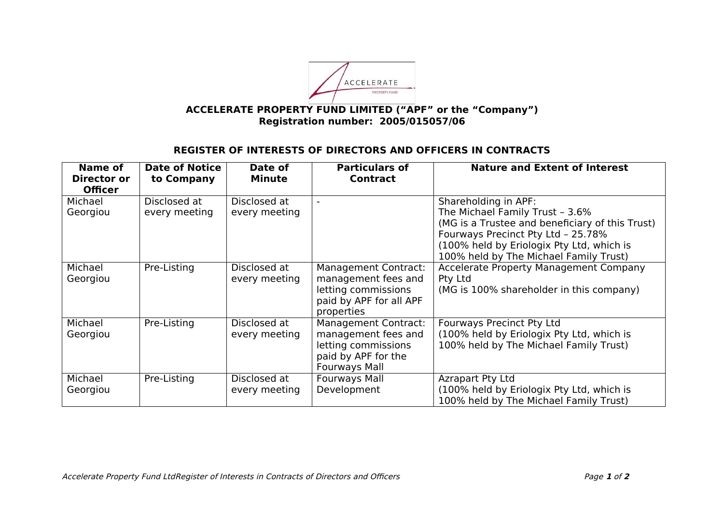

## **ACCELERATE PROPERTY FUND LIMITED ("APF" or the "Company") Registration number: 2005/015057/06**

## **REGISTER OF INTERESTS OF DIRECTORS AND OFFICERS IN CONTRACTS**

| Name of<br>Director or<br><b>Officer</b> | <b>Date of Notice</b><br>to Company | Date of<br><b>Minute</b>      | <b>Particulars of</b><br><b>Contract</b>                                                                                 | <b>Nature and Extent of Interest</b>                                                                                                                                                                                                    |
|------------------------------------------|-------------------------------------|-------------------------------|--------------------------------------------------------------------------------------------------------------------------|-----------------------------------------------------------------------------------------------------------------------------------------------------------------------------------------------------------------------------------------|
| Michael<br>Georgiou                      | Disclosed at<br>every meeting       | Disclosed at<br>every meeting |                                                                                                                          | Shareholding in APF:<br>The Michael Family Trust - 3.6%<br>(MG is a Trustee and beneficiary of this Trust)<br>Fourways Precinct Pty Ltd - 25.78%<br>(100% held by Eriologix Pty Ltd, which is<br>100% held by The Michael Family Trust) |
| Michael<br>Georgiou                      | Pre-Listing                         | Disclosed at<br>every meeting | <b>Management Contract:</b><br>management fees and<br>letting commissions<br>paid by APF for all APF<br>properties       | <b>Accelerate Property Management Company</b><br>Pty Ltd<br>(MG is 100% shareholder in this company)                                                                                                                                    |
| Michael<br>Georgiou                      | Pre-Listing                         | Disclosed at<br>every meeting | <b>Management Contract:</b><br>management fees and<br>letting commissions<br>paid by APF for the<br><b>Fourways Mall</b> | <b>Fourways Precinct Pty Ltd</b><br>(100% held by Eriologix Pty Ltd, which is<br>100% held by The Michael Family Trust)                                                                                                                 |
| Michael<br>Georgiou                      | Pre-Listing                         | Disclosed at<br>every meeting | <b>Fourways Mall</b><br>Development                                                                                      | <b>Azrapart Pty Ltd</b><br>(100% held by Eriologix Pty Ltd, which is<br>100% held by The Michael Family Trust)                                                                                                                          |